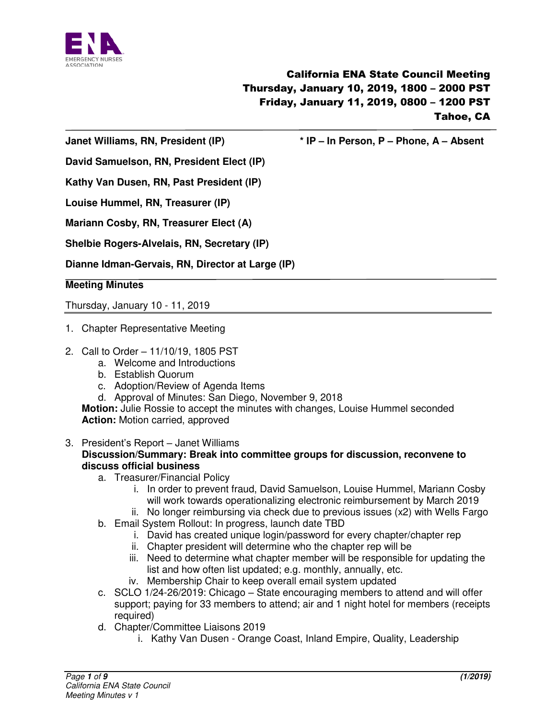

**Janet Williams, RN, President (IP) \* IP – In Person, P – Phone, A – Absent** 

**David Samuelson, RN, President Elect (IP)** 

**Kathy Van Dusen, RN, Past President (IP)** 

**Louise Hummel, RN, Treasurer (IP)** 

**Mariann Cosby, RN, Treasurer Elect (A)** 

**Shelbie Rogers-Alvelais, RN, Secretary (IP)** 

**Dianne Idman-Gervais, RN, Director at Large (IP)** 

**Meeting Minutes** 

Thursday, January 10 - 11, 2019

- 1. Chapter Representative Meeting
- 2. Call to Order 11/10/19, 1805 PST
	- a. Welcome and Introductions
	- b. Establish Quorum
	- c. Adoption/Review of Agenda Items
	- d. Approval of Minutes: San Diego, November 9, 2018

**Motion:** Julie Rossie to accept the minutes with changes, Louise Hummel seconded **Action:** Motion carried, approved

- 3. President's Report Janet Williams **Discussion/Summary: Break into committee groups for discussion, reconvene to discuss official business** 
	- a. Treasurer/Financial Policy
		- i. In order to prevent fraud, David Samuelson, Louise Hummel, Mariann Cosby will work towards operationalizing electronic reimbursement by March 2019
		- ii. No longer reimbursing via check due to previous issues (x2) with Wells Fargo
	- b. Email System Rollout: In progress, launch date TBD
		- i. David has created unique login/password for every chapter/chapter rep
		- ii. Chapter president will determine who the chapter rep will be
		- iii. Need to determine what chapter member will be responsible for updating the list and how often list updated; e.g. monthly, annually, etc.
		- iv. Membership Chair to keep overall email system updated
	- c. SCLO 1/24-26/2019: Chicago State encouraging members to attend and will offer support; paying for 33 members to attend; air and 1 night hotel for members (receipts required)
	- d. Chapter/Committee Liaisons 2019
		- i. Kathy Van Dusen Orange Coast, Inland Empire, Quality, Leadership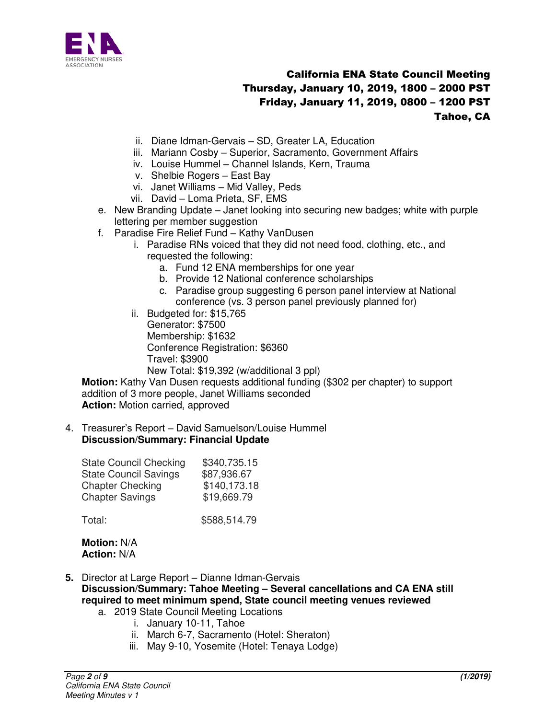

- ii. Diane Idman-Gervais SD, Greater LA, Education
- iii. Mariann Cosby Superior, Sacramento, Government Affairs
- iv. Louise Hummel Channel Islands, Kern, Trauma
- v. Shelbie Rogers East Bay
- vi. Janet Williams Mid Valley, Peds
- vii. David Loma Prieta, SF, EMS
- e. New Branding Update Janet looking into securing new badges; white with purple lettering per member suggestion
- f. Paradise Fire Relief Fund Kathy VanDusen
	- i. Paradise RNs voiced that they did not need food, clothing, etc., and requested the following:
		- a. Fund 12 ENA memberships for one year
		- b. Provide 12 National conference scholarships
		- c. Paradise group suggesting 6 person panel interview at National conference (vs. 3 person panel previously planned for)
	- ii. Budgeted for: \$15,765 Generator: \$7500 Membership: \$1632 Conference Registration: \$6360 Travel: \$3900 New Total: \$19,392 (w/additional 3 ppl)

**Motion:** Kathy Van Dusen requests additional funding (\$302 per chapter) to support addition of 3 more people, Janet Williams seconded **Action:** Motion carried, approved

4. Treasurer's Report – David Samuelson/Louise Hummel **Discussion/Summary: Financial Update** 

| <b>State Council Checking</b> | \$340,735.15 |
|-------------------------------|--------------|
| <b>State Council Savings</b>  | \$87,936.67  |
| <b>Chapter Checking</b>       | \$140,173.18 |
| <b>Chapter Savings</b>        | \$19,669.79  |
|                               |              |

Total: \$588,514.79

**Motion:** N/A **Action:** N/A

- **5.** Director at Large Report Dianne Idman-Gervais **Discussion/Summary: Tahoe Meeting – Several cancellations and CA ENA still required to meet minimum spend, State council meeting venues reviewed**  a. 2019 State Council Meeting Locations
	- i. January 10-11, Tahoe
		-
		- ii. March 6-7, Sacramento (Hotel: Sheraton)
		- iii. May 9-10, Yosemite (Hotel: Tenaya Lodge)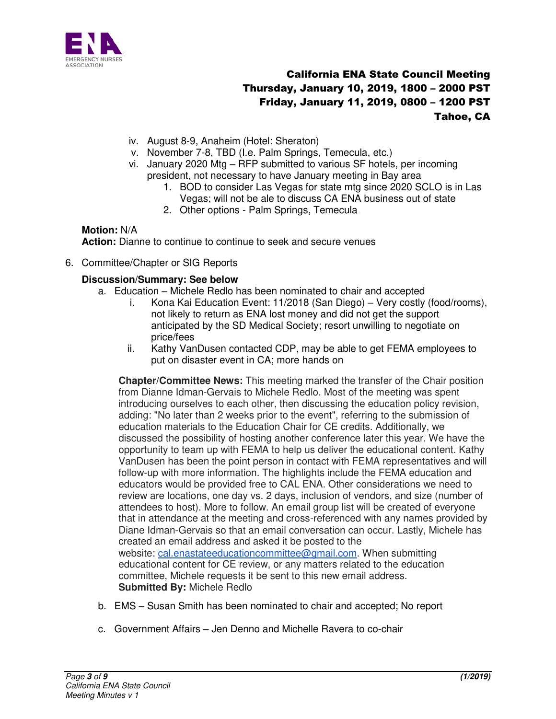

- iv. August 8-9, Anaheim (Hotel: Sheraton)
- v. November 7-8, TBD (I.e. Palm Springs, Temecula, etc.)
- vi. January 2020 Mtg RFP submitted to various SF hotels, per incoming president, not necessary to have January meeting in Bay area
	- 1. BOD to consider Las Vegas for state mtg since 2020 SCLO is in Las Vegas; will not be ale to discuss CA ENA business out of state
	- 2. Other options Palm Springs, Temecula

#### **Motion:** N/A

**Action:** Dianne to continue to continue to seek and secure venues

6. Committee/Chapter or SIG Reports

#### **Discussion/Summary: See below**

- a. Education Michele Redlo has been nominated to chair and accepted
	- i. Kona Kai Education Event: 11/2018 (San Diego) Very costly (food/rooms), not likely to return as ENA lost money and did not get the support anticipated by the SD Medical Society; resort unwilling to negotiate on price/fees
	- ii. Kathy VanDusen contacted CDP, may be able to get FEMA employees to put on disaster event in CA; more hands on

**Chapter/Committee News:** This meeting marked the transfer of the Chair position from Dianne Idman-Gervais to Michele Redlo. Most of the meeting was spent introducing ourselves to each other, then discussing the education policy revision, adding: "No later than 2 weeks prior to the event", referring to the submission of education materials to the Education Chair for CE credits. Additionally, we discussed the possibility of hosting another conference later this year. We have the opportunity to team up with FEMA to help us deliver the educational content. Kathy VanDusen has been the point person in contact with FEMA representatives and will follow-up with more information. The highlights include the FEMA education and educators would be provided free to CAL ENA. Other considerations we need to review are locations, one day vs. 2 days, inclusion of vendors, and size (number of attendees to host). More to follow. An email group list will be created of everyone that in attendance at the meeting and cross-referenced with any names provided by Diane Idman-Gervais so that an email conversation can occur. Lastly, Michele has created an email address and asked it be posted to the website: [cal.enastateeducationcommittee@gmail.com.](mailto:cal.enastateeducationcommittee@gmail.com) When submitting educational content for CE review, or any matters related to the education committee, Michele requests it be sent to this new email address. **Submitted By:** Michele Redlo

- b. EMS Susan Smith has been nominated to chair and accepted; No report
- c. Government Affairs Jen Denno and Michelle Ravera to co-chair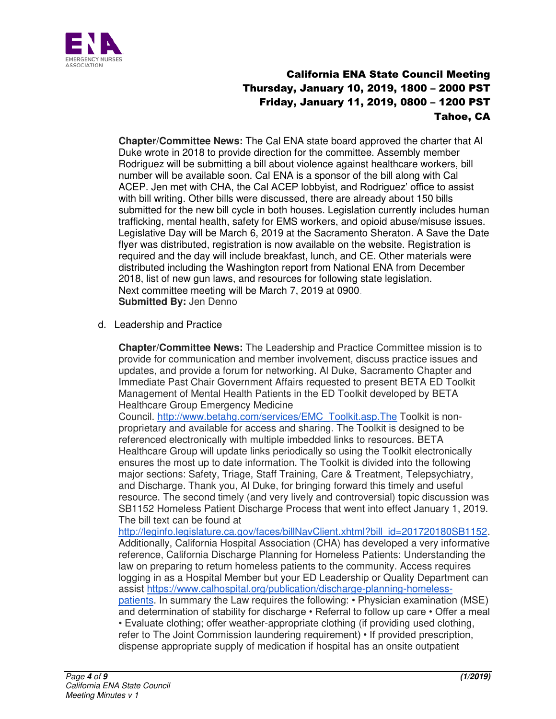

**Chapter/Committee News:** The Cal ENA state board approved the charter that Al Duke wrote in 2018 to provide direction for the committee. Assembly member Rodriguez will be submitting a bill about violence against healthcare workers, bill number will be available soon. Cal ENA is a sponsor of the bill along with Cal ACEP. Jen met with CHA, the Cal ACEP lobbyist, and Rodriguez' office to assist with bill writing. Other bills were discussed, there are already about 150 bills submitted for the new bill cycle in both houses. Legislation currently includes human trafficking, mental health, safety for EMS workers, and opioid abuse/misuse issues. Legislative Day will be March 6, 2019 at the Sacramento Sheraton. A Save the Date flyer was distributed, registration is now available on the website. Registration is required and the day will include breakfast, lunch, and CE. Other materials were distributed including the Washington report from National ENA from December 2018, list of new gun laws, and resources for following state legislation. Next committee meeting will be March 7, 2019 at 0900. **Submitted By: Jen Denno** 

d. Leadership and Practice

**Chapter/Committee News:** The Leadership and Practice Committee mission is to provide for communication and member involvement, discuss practice issues and updates, and provide a forum for networking. Al Duke, Sacramento Chapter and Immediate Past Chair Government Affairs requested to present BETA ED Toolkit Management of Mental Health Patients in the ED Toolkit developed by BETA Healthcare Group Emergency Medicine

Council. [http://www.betahg.com/services/EMC\\_Toolkit.asp.The](http://www.betahg.com/services/EMC_Toolkit.asp.The) Toolkit is nonproprietary and available for access and sharing. The Toolkit is designed to be referenced electronically with multiple imbedded links to resources. BETA Healthcare Group will update links periodically so using the Toolkit electronically ensures the most up to date information. The Toolkit is divided into the following major sections: Safety, Triage, Staff Training, Care & Treatment, Telepsychiatry, and Discharge. Thank you, Al Duke, for bringing forward this timely and useful resource. The second timely (and very lively and controversial) topic discussion was SB1152 Homeless Patient Discharge Process that went into effect January 1, 2019. The bill text can be found at

[http://leginfo.legislature.ca.gov/faces/billNavClient.xhtml?bill\\_id=201720180SB1152.](http://leginfo.legislature.ca.gov/faces/billNavClient.xhtml?bill_id=201720180SB1152) Additionally, California Hospital Association (CHA) has developed a very informative reference, California Discharge Planning for Homeless Patients: Understanding the law on preparing to return homeless patients to the community. Access requires logging in as a Hospital Member but your ED Leadership or Quality Department can assist [https://www.calhospital.org/publication/discharge-planning-homeless](https://www.calhospital.org/publication/discharge-planning-homeless-patients)[patients.](https://www.calhospital.org/publication/discharge-planning-homeless-patients) In summary the Law requires the following: • Physician examination (MSE) and determination of stability for discharge • Referral to follow up care • Offer a meal • Evaluate clothing; offer weather-appropriate clothing (if providing used clothing, refer to The Joint Commission laundering requirement) • If provided prescription, dispense appropriate supply of medication if hospital has an onsite outpatient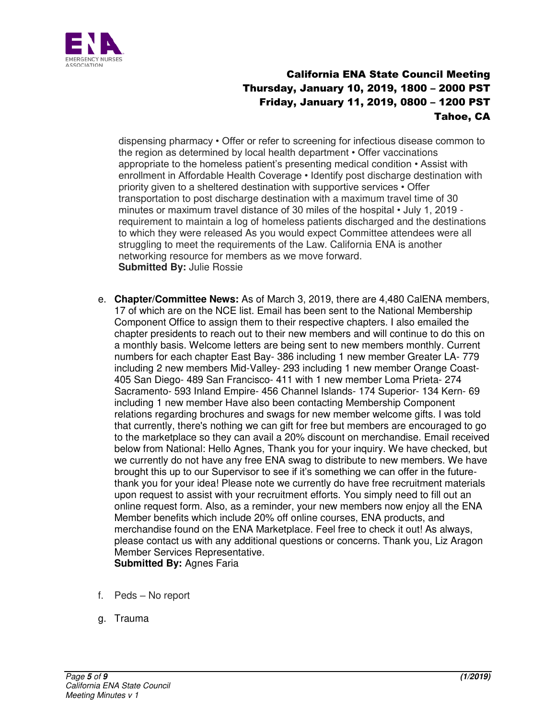

dispensing pharmacy • Offer or refer to screening for infectious disease common to the region as determined by local health department • Offer vaccinations appropriate to the homeless patient's presenting medical condition • Assist with enrollment in Affordable Health Coverage • Identify post discharge destination with priority given to a sheltered destination with supportive services • Offer transportation to post discharge destination with a maximum travel time of 30 minutes or maximum travel distance of 30 miles of the hospital • July 1, 2019 requirement to maintain a log of homeless patients discharged and the destinations to which they were released As you would expect Committee attendees were all struggling to meet the requirements of the Law. California ENA is another networking resource for members as we move forward. **Submitted By:** Julie Rossie

- e. **Chapter/Committee News:** As of March 3, 2019, there are 4,480 CalENA members, 17 of which are on the NCE list. Email has been sent to the National Membership Component Office to assign them to their respective chapters. I also emailed the chapter presidents to reach out to their new members and will continue to do this on a monthly basis. Welcome letters are being sent to new members monthly. Current numbers for each chapter East Bay- 386 including 1 new member Greater LA- 779 including 2 new members Mid-Valley- 293 including 1 new member Orange Coast-405 San Diego- 489 San Francisco- 411 with 1 new member Loma Prieta- 274 Sacramento- 593 Inland Empire- 456 Channel Islands- 174 Superior- 134 Kern- 69 including 1 new member Have also been contacting Membership Component relations regarding brochures and swags for new member welcome gifts. I was told that currently, there's nothing we can gift for free but members are encouraged to go to the marketplace so they can avail a 20% discount on merchandise. Email received below from National: Hello Agnes, Thank you for your inquiry. We have checked, but we currently do not have any free ENA swag to distribute to new members. We have brought this up to our Supervisor to see if it's something we can offer in the futurethank you for your idea! Please note we currently do have free recruitment materials upon request to assist with your recruitment efforts. You simply need to fill out an online request form. Also, as a reminder, your new members now enjoy all the ENA Member benefits which include 20% off online courses, ENA products, and merchandise found on the ENA Marketplace. Feel free to check it out! As always, please contact us with any additional questions or concerns. Thank you, Liz Aragon Member Services Representative. **Submitted By:** Agnes Faria
- f. Peds No report
- g. Trauma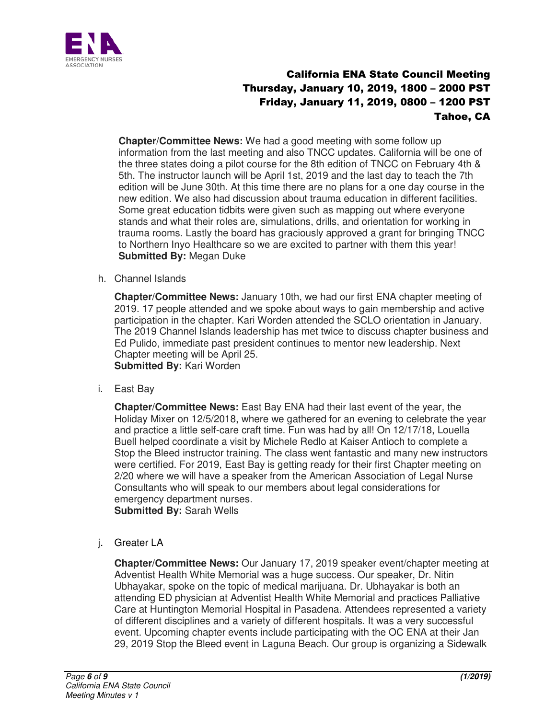

**Chapter/Committee News:** We had a good meeting with some follow up information from the last meeting and also TNCC updates. California will be one of the three states doing a pilot course for the 8th edition of TNCC on February 4th & 5th. The instructor launch will be April 1st, 2019 and the last day to teach the 7th edition will be June 30th. At this time there are no plans for a one day course in the new edition. We also had discussion about trauma education in different facilities. Some great education tidbits were given such as mapping out where everyone stands and what their roles are, simulations, drills, and orientation for working in trauma rooms. Lastly the board has graciously approved a grant for bringing TNCC to Northern Inyo Healthcare so we are excited to partner with them this year! **Submitted By:** Megan Duke

h. Channel Islands

**Chapter/Committee News:** January 10th, we had our first ENA chapter meeting of 2019. 17 people attended and we spoke about ways to gain membership and active participation in the chapter. Kari Worden attended the SCLO orientation in January. The 2019 Channel Islands leadership has met twice to discuss chapter business and Ed Pulido, immediate past president continues to mentor new leadership. Next Chapter meeting will be April 25. **Submitted By:** Kari Worden

i. East Bay

**Chapter/Committee News:** East Bay ENA had their last event of the year, the Holiday Mixer on 12/5/2018, where we gathered for an evening to celebrate the year and practice a little self-care craft time. Fun was had by all! On 12/17/18, Louella Buell helped coordinate a visit by Michele Redlo at Kaiser Antioch to complete a Stop the Bleed instructor training. The class went fantastic and many new instructors were certified. For 2019, East Bay is getting ready for their first Chapter meeting on 2/20 where we will have a speaker from the American Association of Legal Nurse Consultants who will speak to our members about legal considerations for emergency department nurses. **Submitted By:** Sarah Wells

j. Greater LA

**Chapter/Committee News:** Our January 17, 2019 speaker event/chapter meeting at Adventist Health White Memorial was a huge success. Our speaker, Dr. Nitin Ubhayakar, spoke on the topic of medical marijuana. Dr. Ubhayakar is both an attending ED physician at Adventist Health White Memorial and practices Palliative Care at Huntington Memorial Hospital in Pasadena. Attendees represented a variety of different disciplines and a variety of different hospitals. It was a very successful event. Upcoming chapter events include participating with the OC ENA at their Jan 29, 2019 Stop the Bleed event in Laguna Beach. Our group is organizing a Sidewalk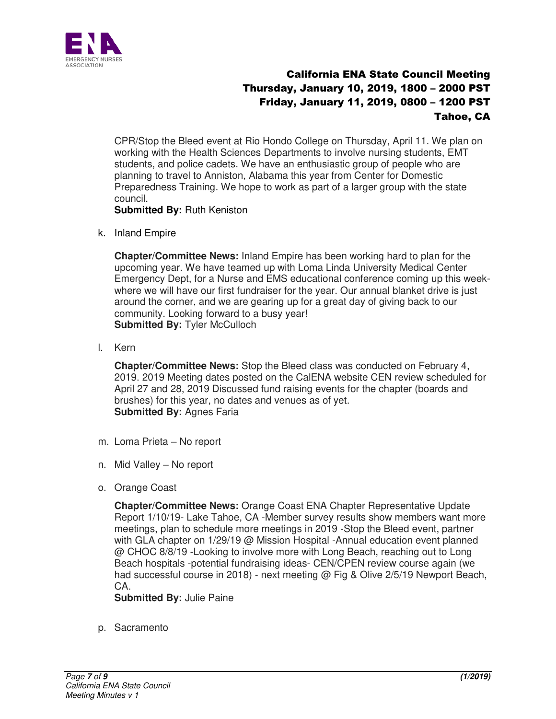

CPR/Stop the Bleed event at Rio Hondo College on Thursday, April 11. We plan on working with the Health Sciences Departments to involve nursing students, EMT students, and police cadets. We have an enthusiastic group of people who are planning to travel to Anniston, Alabama this year from Center for Domestic Preparedness Training. We hope to work as part of a larger group with the state council.

#### **Submitted By:** Ruth Keniston

k. Inland Empire

**Chapter/Committee News:** Inland Empire has been working hard to plan for the upcoming year. We have teamed up with Loma Linda University Medical Center Emergency Dept, for a Nurse and EMS educational conference coming up this weekwhere we will have our first fundraiser for the year. Our annual blanket drive is just around the corner, and we are gearing up for a great day of giving back to our community. Looking forward to a busy year! **Submitted By: Tyler McCulloch** 

l. Kern

**Chapter/Committee News:** Stop the Bleed class was conducted on February 4, 2019. 2019 Meeting dates posted on the CalENA website CEN review scheduled for April 27 and 28, 2019 Discussed fund raising events for the chapter (boards and brushes) for this year, no dates and venues as of yet. **Submitted By: Agnes Faria** 

- m. Loma Prieta No report
- n. Mid Valley No report
- o. Orange Coast

**Chapter/Committee News:** Orange Coast ENA Chapter Representative Update Report 1/10/19- Lake Tahoe, CA -Member survey results show members want more meetings, plan to schedule more meetings in 2019 -Stop the Bleed event, partner with GLA chapter on 1/29/19 @ Mission Hospital -Annual education event planned @ CHOC 8/8/19 -Looking to involve more with Long Beach, reaching out to Long Beach hospitals -potential fundraising ideas- CEN/CPEN review course again (we had successful course in 2018) - next meeting @ Fig & Olive 2/5/19 Newport Beach, CA.

**Submitted By:** Julie Paine

p. Sacramento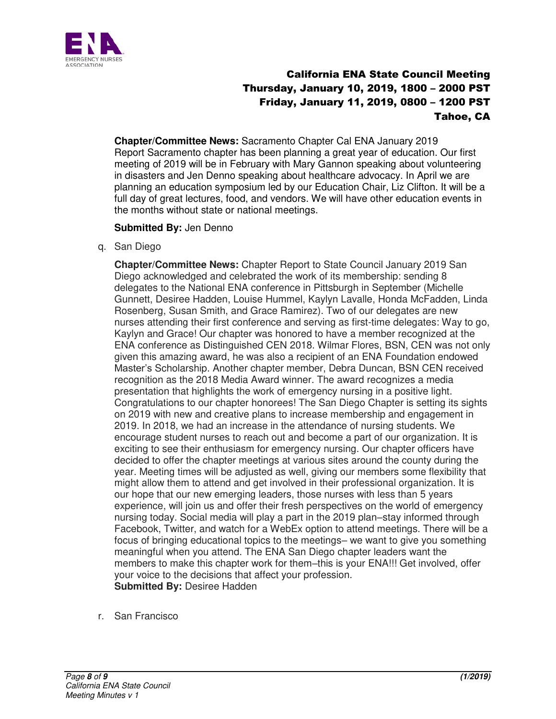

**Chapter/Committee News:** Sacramento Chapter Cal ENA January 2019 Report Sacramento chapter has been planning a great year of education. Our first meeting of 2019 will be in February with Mary Gannon speaking about volunteering in disasters and Jen Denno speaking about healthcare advocacy. In April we are planning an education symposium led by our Education Chair, Liz Clifton. It will be a full day of great lectures, food, and vendors. We will have other education events in the months without state or national meetings.

#### **Submitted By:** Jen Denno

q. San Diego

**Chapter/Committee News:** Chapter Report to State Council January 2019 San Diego acknowledged and celebrated the work of its membership: sending 8 delegates to the National ENA conference in Pittsburgh in September (Michelle Gunnett, Desiree Hadden, Louise Hummel, Kaylyn Lavalle, Honda McFadden, Linda Rosenberg, Susan Smith, and Grace Ramirez). Two of our delegates are new nurses attending their first conference and serving as first-time delegates: Way to go, Kaylyn and Grace! Our chapter was honored to have a member recognized at the ENA conference as Distinguished CEN 2018. Wilmar Flores, BSN, CEN was not only given this amazing award, he was also a recipient of an ENA Foundation endowed Master's Scholarship. Another chapter member, Debra Duncan, BSN CEN received recognition as the 2018 Media Award winner. The award recognizes a media presentation that highlights the work of emergency nursing in a positive light. Congratulations to our chapter honorees! The San Diego Chapter is setting its sights on 2019 with new and creative plans to increase membership and engagement in 2019. In 2018, we had an increase in the attendance of nursing students. We encourage student nurses to reach out and become a part of our organization. It is exciting to see their enthusiasm for emergency nursing. Our chapter officers have decided to offer the chapter meetings at various sites around the county during the year. Meeting times will be adjusted as well, giving our members some flexibility that might allow them to attend and get involved in their professional organization. It is our hope that our new emerging leaders, those nurses with less than 5 years experience, will join us and offer their fresh perspectives on the world of emergency nursing today. Social media will play a part in the 2019 plan–stay informed through Facebook, Twitter, and watch for a WebEx option to attend meetings. There will be a focus of bringing educational topics to the meetings– we want to give you something meaningful when you attend. The ENA San Diego chapter leaders want the members to make this chapter work for them–this is your ENA!!! Get involved, offer your voice to the decisions that affect your profession. **Submitted By: Desiree Hadden** 

r. San Francisco